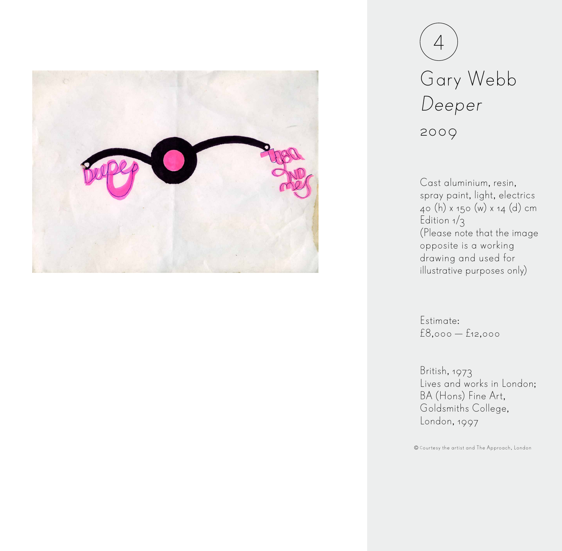

## Gary Webb Deeper 2009 4

Cast aluminium, resin, spray paint, light, electrics 40 (h) x 150 (w) x 14 (d) cm Edition  $1/3$ (Please note that the image opposite is a working drawing and used for illustrative purposes only)

Estimate: £8,000 — £12,000

British, 1973 Lives and works in London; BA (Hons) Fine Art, Goldsmiths College, London, 1997

Courtesy the artist and The Approach, London